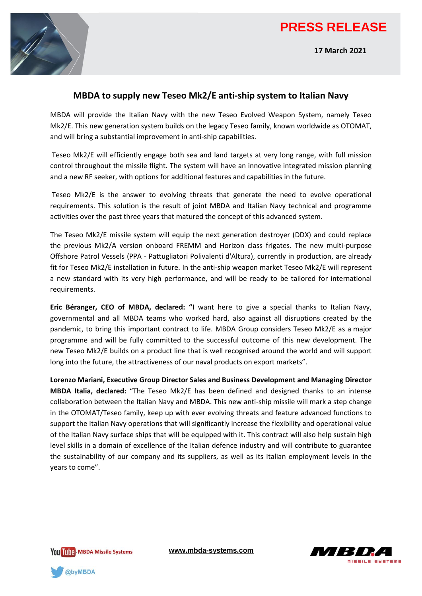## **PRESS RELEASE**





## **MBDA to supply new Teseo Mk2/E anti-ship system to Italian Navy**

MBDA will provide the Italian Navy with the new Teseo Evolved Weapon System, namely Teseo Mk2/E. This new generation system builds on the legacy Teseo family, known worldwide as OTOMAT, and will bring a substantial improvement in anti-ship capabilities.

Teseo Mk2/E will efficiently engage both sea and land targets at very long range, with full mission control throughout the missile flight. The system will have an innovative integrated mission planning and a new RF seeker, with options for additional features and capabilities in the future.

Teseo Mk2/E is the answer to evolving threats that generate the need to evolve operational requirements. This solution is the result of joint MBDA and Italian Navy technical and programme activities over the past three years that matured the concept of this advanced system.

The Teseo Mk2/E missile system will equip the next generation destroyer (DDX) and could replace the previous Mk2/A version onboard FREMM and Horizon class frigates. The new multi-purpose Offshore Patrol Vessels (PPA - Pattugliatori Polivalenti d'Altura), currently in production, are already fit for Teseo Mk2/E installation in future. In the anti-ship weapon market Teseo Mk2/E will represent a new standard with its very high performance, and will be ready to be tailored for international requirements.

**Eric Béranger, CEO of MBDA, declared: "**I want here to give a special thanks to Italian Navy, governmental and all MBDA teams who worked hard, also against all disruptions created by the pandemic, to bring this important contract to life. MBDA Group considers Teseo Mk2/E as a major programme and will be fully committed to the successful outcome of this new development. The new Teseo Mk2/E builds on a product line that is well recognised around the world and will support long into the future, the attractiveness of our naval products on export markets".

**Lorenzo Mariani, Executive Group Director Sales and Business Development and Managing Director MBDA Italia, declared:** "The Teseo Mk2/E has been defined and designed thanks to an intense collaboration between the Italian Navy and MBDA. This new anti-ship missile will mark a step change in the OTOMAT/Teseo family, keep up with ever evolving threats and feature advanced functions to support the Italian Navy operations that will significantly increase the flexibility and operational value of the Italian Navy surface ships that will be equipped with it. This contract will also help sustain high level skills in a domain of excellence of the Italian defence industry and will contribute to guarantee the sustainability of our company and its suppliers, as well as its Italian employment levels in the years to come".

You Illing MBDA Missile Systems

**[www.mbda-systems.com](http://www.mbda-systems.com/)**